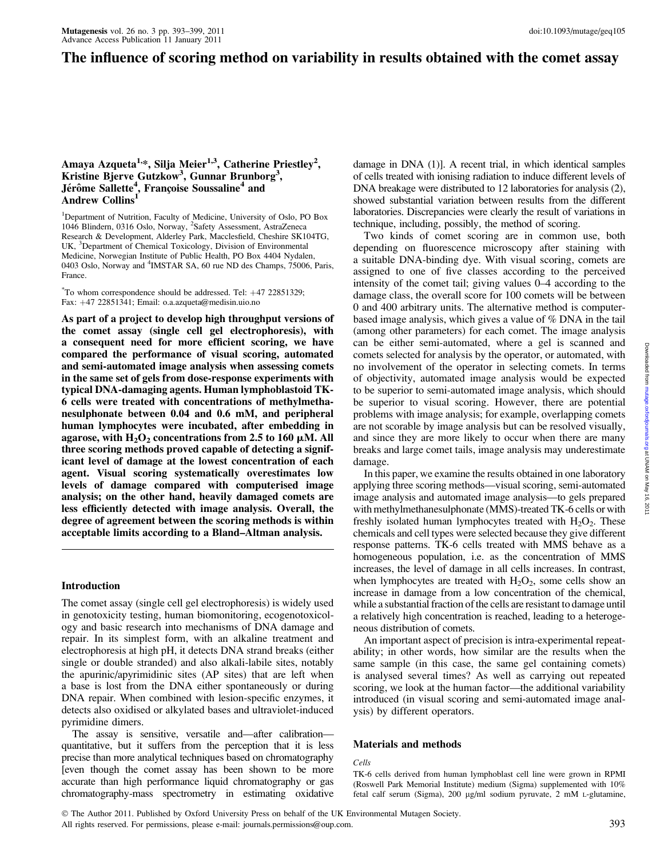# The influence of scoring method on variability in results obtained with the comet assay

# Amaya Azqueta<sup>1,</sup>\*, Silja Meier<sup>1,3</sup>, Catherine Priestley<sup>2</sup>, Kristine Bjerve Gutzkow<sup>3</sup>, Gunnar Brunborg<sup>3</sup>, Jérôme Sallette<sup>4</sup>, Françoise Soussaline<sup>4</sup> and **Andrew Collins**

<sup>1</sup>Department of Nutrition, Faculty of Medicine, University of Oslo, PO Box 1046 Blindern, 0316 Oslo, Norway, <sup>2</sup> Safety Assessment, AstraZeneca Research & Development, Alderley Park, Macclesfield, Cheshire SK104TG, UK, <sup>3</sup>Department of Chemical Toxicology, Division of Environmental Medicine, Norwegian Institute of Public Health, PO Box 4404 Nydalen, 0403 Oslo, Norway and <sup>4</sup>IMSTAR SA, 60 rue ND des Champs, 75006, Paris, France.

 $*$ To whom correspondence should be addressed. Tel:  $+47$  22851329; Fax: +47 22851341; Email: o.a.azqueta@medisin.uio.no

As part of a project to develop high throughput versions of the comet assay (single cell gel electrophoresis), with a consequent need for more efficient scoring, we have compared the performance of visual scoring, automated and semi-automated image analysis when assessing comets in the same set of gels from dose-response experiments with typical DNA-damaging agents. Human lymphoblastoid TK-6 cells were treated with concentrations of methylmethanesulphonate between 0.04 and 0.6 mM, and peripheral human lymphocytes were incubated, after embedding in agarose, with H<sub>2</sub>O<sub>2</sub> concentrations from 2.5 to 160 µM. All three scoring methods proved capable of detecting a significant level of damage at the lowest concentration of each agent. Visual scoring systematically overestimates low levels of damage compared with computerised image analysis; on the other hand, heavily damaged comets are less efficiently detected with image analysis. Overall, the degree of agreement between the scoring methods is within acceptable limits according to a Bland–Altman analysis.

# Introduction

The comet assay (single cell gel electrophoresis) is widely used in genotoxicity testing, human biomonitoring, ecogenotoxicology and basic research into mechanisms of DNA damage and repair. In its simplest form, with an alkaline treatment and electrophoresis at high pH, it detects DNA strand breaks (either single or double stranded) and also alkali-labile sites, notably the apurinic/apyrimidinic sites (AP sites) that are left when a base is lost from the DNA either spontaneously or during DNA repair. When combined with lesion-specific enzymes, it detects also oxidised or alkylated bases and ultraviolet-induced pyrimidine dimers.

The assay is sensitive, versatile and—after calibration quantitative, but it suffers from the perception that it is less precise than more analytical techniques based on chromatography [even though the comet assay has been shown to be more accurate than high performance liquid chromatography or gas chromatography-mass spectrometry in estimating oxidative damage in DNA (1)]. A recent trial, in which identical samples of cells treated with ionising radiation to induce different levels of DNA breakage were distributed to 12 laboratories for analysis (2), showed substantial variation between results from the different laboratories. Discrepancies were clearly the result of variations in technique, including, possibly, the method of scoring.

Two kinds of comet scoring are in common use, both depending on fluorescence microscopy after staining with a suitable DNA-binding dye. With visual scoring, comets are assigned to one of five classes according to the perceived intensity of the comet tail; giving values 0–4 according to the damage class, the overall score for 100 comets will be between 0 and 400 arbitrary units. The alternative method is computerbased image analysis, which gives a value of % DNA in the tail (among other parameters) for each comet. The image analysis can be either semi-automated, where a gel is scanned and comets selected for analysis by the operator, or automated, with no involvement of the operator in selecting comets. In terms of objectivity, automated image analysis would be expected to be superior to semi-automated image analysis, which should be superior to visual scoring. However, there are potential problems with image analysis; for example, overlapping comets are not scorable by image analysis but can be resolved visually, and since they are more likely to occur when there are many breaks and large comet tails, image analysis may underestimate damage.

In this paper, we examine the results obtained in one laboratory applying three scoring methods—visual scoring, semi-automated image analysis and automated image analysis—to gels prepared with methylmethanesulphonate (MMS)-treated TK-6 cells or with freshly isolated human lymphocytes treated with  $H_2O_2$ . These chemicals and cell types were selected because they give different response patterns. TK-6 cells treated with MMS behave as a homogeneous population, i.e. as the concentration of MMS increases, the level of damage in all cells increases. In contrast, when lymphocytes are treated with  $H_2O_2$ , some cells show an increase in damage from a low concentration of the chemical, while a substantial fraction of the cells are resistant to damage until a relatively high concentration is reached, leading to a heterogeneous distribution of comets.

An important aspect of precision is intra-experimental repeatability; in other words, how similar are the results when the same sample (in this case, the same gel containing comets) is analysed several times? As well as carrying out repeated scoring, we look at the human factor—the additional variability introduced (in visual scoring and semi-automated image analysis) by different operators.

### Materials and methods

### Cells

TK-6 cells derived from human lymphoblast cell line were grown in RPMI (Roswell Park Memorial Institute) medium (Sigma) supplemented with 10% fetal calf serum (Sigma), 200 µg/ml sodium pyruvate, 2 mM L-glutamine,

The Author 2011. Published by Oxford University Press on behalf of the UK Environmental Mutagen Society.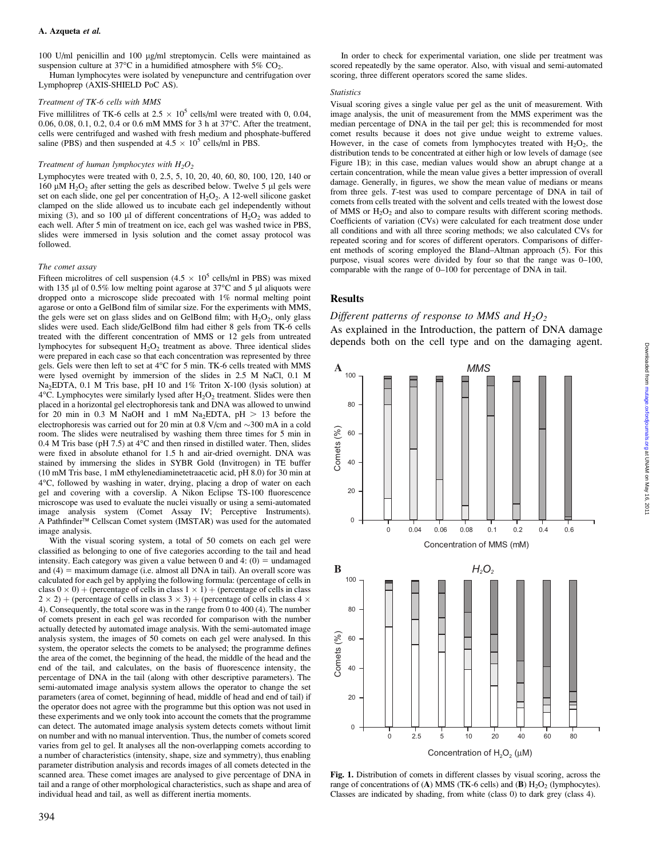#### A. Azqueta et al.

100 U/ml penicillin and 100 μg/ml streptomycin. Cells were maintained as suspension culture at 37 $\mathrm{^{\circ}C}$  in a humidified atmosphere with 5% CO<sub>2</sub>.

Human lymphocytes were isolated by venepuncture and centrifugation over Lymphoprep (AXIS-SHIELD PoC AS).

#### Treatment of TK-6 cells with MMS

Five millilitres of TK-6 cells at  $2.5 \times 10^5$  cells/ml were treated with 0, 0.04, 0.06, 0.08, 0.1, 0.2, 0.4 or 0.6 mM MMS for 3 h at 37°C. After the treatment, cells were centrifuged and washed with fresh medium and phosphate-buffered saline (PBS) and then suspended at  $4.5 \times 10^5$  cells/ml in PBS.

#### Treatment of human lymphocytes with  $H_2O_2$

Lymphocytes were treated with 0, 2.5, 5, 10, 20, 40, 60, 80, 100, 120, 140 or 160  $\mu$ M H<sub>2</sub>O<sub>2</sub> after setting the gels as described below. Twelve 5  $\mu$ l gels were set on each slide, one gel per concentration of  $H_2O_2$ . A 12-well silicone gasket clamped on the slide allowed us to incubate each gel independently without mixing (3), and so 100  $\mu$ l of different concentrations of H<sub>2</sub>O<sub>2</sub> was added to each well. After 5 min of treatment on ice, each gel was washed twice in PBS, slides were immersed in lysis solution and the comet assay protocol was followed.

### The comet assay

Fifteen microlitres of cell suspension (4.5  $\times$  10<sup>5</sup> cells/ml in PBS) was mixed with 135  $\mu$ l of 0.5% low melting point agarose at 37 $\degree$ C and 5  $\mu$ l aliquots were dropped onto a microscope slide precoated with 1% normal melting point agarose or onto a GelBond film of similar size. For the experiments with MMS, the gels were set on glass slides and on GelBond film; with  $H_2O_2$ , only glass slides were used. Each slide/GelBond film had either 8 gels from TK-6 cells treated with the different concentration of MMS or 12 gels from untreated lymphocytes for subsequent  $H_2O_2$  treatment as above. Three identical slides were prepared in each case so that each concentration was represented by three gels. Gels were then left to set at  $4^{\circ}$ C for 5 min. TK-6 cells treated with MMS were lysed overnight by immersion of the slides in 2.5 M NaCl, 0.1 M Na2EDTA, 0.1 M Tris base, pH 10 and 1% Triton X-100 (lysis solution) at  $4^{\circ}$ C. Lymphocytes were similarly lysed after  $H_2O_2$  treatment. Slides were then placed in a horizontal gel electrophoresis tank and DNA was allowed to unwind for 20 min in 0.3 M NaOH and 1 mM Na<sub>2</sub>EDTA,  $pH > 13$  before the electrophoresis was carried out for 20 min at 0.8 V/cm and  $\sim$ 300 mA in a cold room. The slides were neutralised by washing them three times for 5 min in  $0.4$  M Tris base (pH 7.5) at  $4^{\circ}$ C and then rinsed in distilled water. Then, slides were fixed in absolute ethanol for 1.5 h and air-dried overnight. DNA was stained by immersing the slides in SYBR Gold (Invitrogen) in TE buffer (10 mM Tris base, 1 mM ethylenediaminetetraacetic acid, pH 8.0) for 30 min at 4-C, followed by washing in water, drying, placing a drop of water on each gel and covering with a coverslip. A Nikon Eclipse TS-100 fluorescence microscope was used to evaluate the nuclei visually or using a semi-automated image analysis system (Comet Assay IV; Perceptive Instruments). A Pathfinder<sup>™</sup> Cellscan Comet system (IMSTAR) was used for the automated image analysis.

With the visual scoring system, a total of 50 comets on each gel were classified as belonging to one of five categories according to the tail and head intensity. Each category was given a value between 0 and 4:  $(0)$  = undamaged and  $(4)$  = maximum damage (i.e. almost all DNA in tail). An overall score was calculated for each gel by applying the following formula: (percentage of cells in class  $0 \times 0$ ) + (percentage of cells in class  $1 \times 1$ ) + (percentage of cells in class  $2 \times 2$ ) + (percentage of cells in class 3  $\times$  3) + (percentage of cells in class 4  $\times$ 4). Consequently, the total score was in the range from 0 to 400 (4). The number of comets present in each gel was recorded for comparison with the number actually detected by automated image analysis. With the semi-automated image analysis system, the images of 50 comets on each gel were analysed. In this system, the operator selects the comets to be analysed; the programme defines the area of the comet, the beginning of the head, the middle of the head and the end of the tail, and calculates, on the basis of fluorescence intensity, the percentage of DNA in the tail (along with other descriptive parameters). The semi-automated image analysis system allows the operator to change the set parameters (area of comet, beginning of head, middle of head and end of tail) if the operator does not agree with the programme but this option was not used in these experiments and we only took into account the comets that the programme can detect. The automated image analysis system detects comets without limit on number and with no manual intervention. Thus, the number of comets scored varies from gel to gel. It analyses all the non-overlapping comets according to a number of characteristics (intensity, shape, size and symmetry), thus enabling parameter distribution analysis and records images of all comets detected in the scanned area. These comet images are analysed to give percentage of DNA in tail and a range of other morphological characteristics, such as shape and area of individual head and tail, as well as different inertia moments.

In order to check for experimental variation, one slide per treatment was scored repeatedly by the same operator. Also, with visual and semi-automated scoring, three different operators scored the same slides.

#### **Statistics**

Visual scoring gives a single value per gel as the unit of measurement. With image analysis, the unit of measurement from the MMS experiment was the median percentage of DNA in the tail per gel; this is recommended for most comet results because it does not give undue weight to extreme values. However, in the case of comets from lymphocytes treated with  $H_2O_2$ , the distribution tends to be concentrated at either high or low levels of damage (see Figure 1B); in this case, median values would show an abrupt change at a certain concentration, while the mean value gives a better impression of overall damage. Generally, in figures, we show the mean value of medians or means from three gels. T-test was used to compare percentage of DNA in tail of comets from cells treated with the solvent and cells treated with the lowest dose of MMS or  $H_2O_2$  and also to compare results with different scoring methods. Coefficients of variation (CVs) were calculated for each treatment dose under all conditions and with all three scoring methods; we also calculated CVs for repeated scoring and for scores of different operators. Comparisons of different methods of scoring employed the Bland–Altman approach (5). For this purpose, visual scores were divided by four so that the range was 0–100, comparable with the range of 0–100 for percentage of DNA in tail.

### **Results**

#### Different patterns of response to MMS and  $H_2O_2$

As explained in the Introduction, the pattern of DNA damage depends both on the cell type and on the damaging agent.



Fig. 1. Distribution of comets in different classes by visual scoring, across the range of concentrations of (A) MMS (TK-6 cells) and (B)  $H_2O_2$  (lymphocytes). Classes are indicated by shading, from white (class 0) to dark grey (class 4).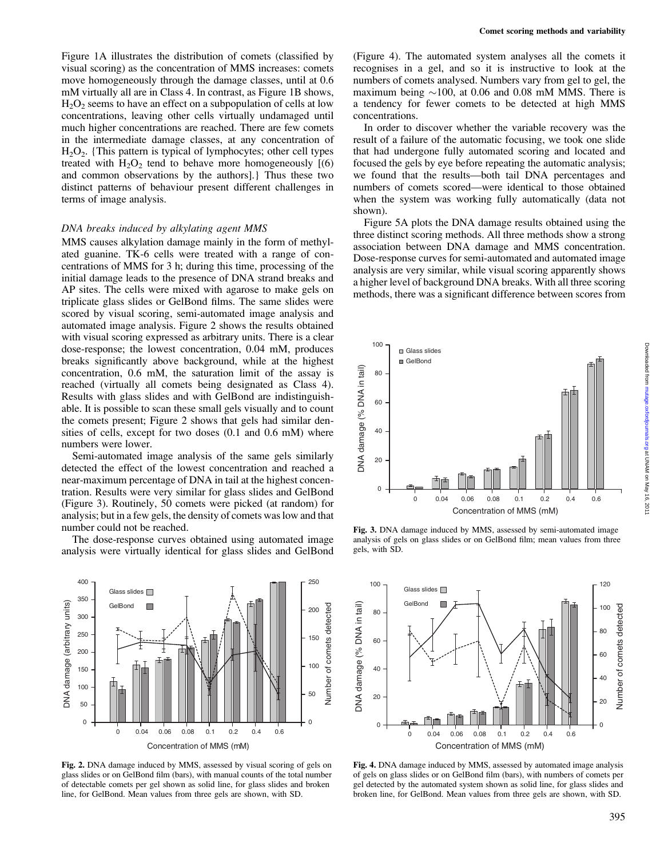Figure 1A illustrates the distribution of comets (classified by visual scoring) as the concentration of MMS increases: comets move homogeneously through the damage classes, until at 0.6 mM virtually all are in Class 4. In contrast, as Figure 1B shows,  $H<sub>2</sub>O<sub>2</sub>$  seems to have an effect on a subpopulation of cells at low concentrations, leaving other cells virtually undamaged until much higher concentrations are reached. There are few comets in the intermediate damage classes, at any concentration of H2O2. {This pattern is typical of lymphocytes; other cell types treated with  $H_2O_2$  tend to behave more homogeneously  $[(6)$ and common observations by the authors].} Thus these two distinct patterns of behaviour present different challenges in terms of image analysis.

### DNA breaks induced by alkylating agent MMS

MMS causes alkylation damage mainly in the form of methylated guanine. TK-6 cells were treated with a range of concentrations of MMS for 3 h; during this time, processing of the initial damage leads to the presence of DNA strand breaks and AP sites. The cells were mixed with agarose to make gels on triplicate glass slides or GelBond films. The same slides were scored by visual scoring, semi-automated image analysis and automated image analysis. Figure 2 shows the results obtained with visual scoring expressed as arbitrary units. There is a clear dose-response; the lowest concentration, 0.04 mM, produces breaks significantly above background, while at the highest concentration, 0.6 mM, the saturation limit of the assay is reached (virtually all comets being designated as Class 4). Results with glass slides and with GelBond are indistinguishable. It is possible to scan these small gels visually and to count the comets present; Figure 2 shows that gels had similar densities of cells, except for two doses (0.1 and 0.6 mM) where numbers were lower.

Semi-automated image analysis of the same gels similarly detected the effect of the lowest concentration and reached a near-maximum percentage of DNA in tail at the highest concentration. Results were very similar for glass slides and GelBond (Figure 3). Routinely, 50 comets were picked (at random) for analysis; but in a few gels, the density of comets was low and that number could not be reached.

The dose-response curves obtained using automated image analysis were virtually identical for glass slides and GelBond



Fig. 2. DNA damage induced by MMS, assessed by visual scoring of gels on glass slides or on GelBond film (bars), with manual counts of the total number of detectable comets per gel shown as solid line, for glass slides and broken line, for GelBond. Mean values from three gels are shown, with SD.

(Figure 4). The automated system analyses all the comets it recognises in a gel, and so it is instructive to look at the numbers of comets analysed. Numbers vary from gel to gel, the maximum being  $\sim$ 100, at 0.06 and 0.08 mM MMS. There is a tendency for fewer comets to be detected at high MMS concentrations.

In order to discover whether the variable recovery was the result of a failure of the automatic focusing, we took one slide that had undergone fully automated scoring and located and focused the gels by eye before repeating the automatic analysis; we found that the results—both tail DNA percentages and numbers of comets scored—were identical to those obtained when the system was working fully automatically (data not shown).

Figure 5A plots the DNA damage results obtained using the three distinct scoring methods. All three methods show a strong association between DNA damage and MMS concentration. Dose-response curves for semi-automated and automated image analysis are very similar, while visual scoring apparently shows a higher level of background DNA breaks. With all three scoring methods, there was a significant difference between scores from



Fig. 3. DNA damage induced by MMS, assessed by semi-automated image analysis of gels on glass slides or on GelBond film; mean values from three gels, with SD.



Fig. 4. DNA damage induced by MMS, assessed by automated image analysis of gels on glass slides or on GelBond film (bars), with numbers of comets per gel detected by the automated system shown as solid line, for glass slides and broken line, for GelBond. Mean values from three gels are shown, with SD.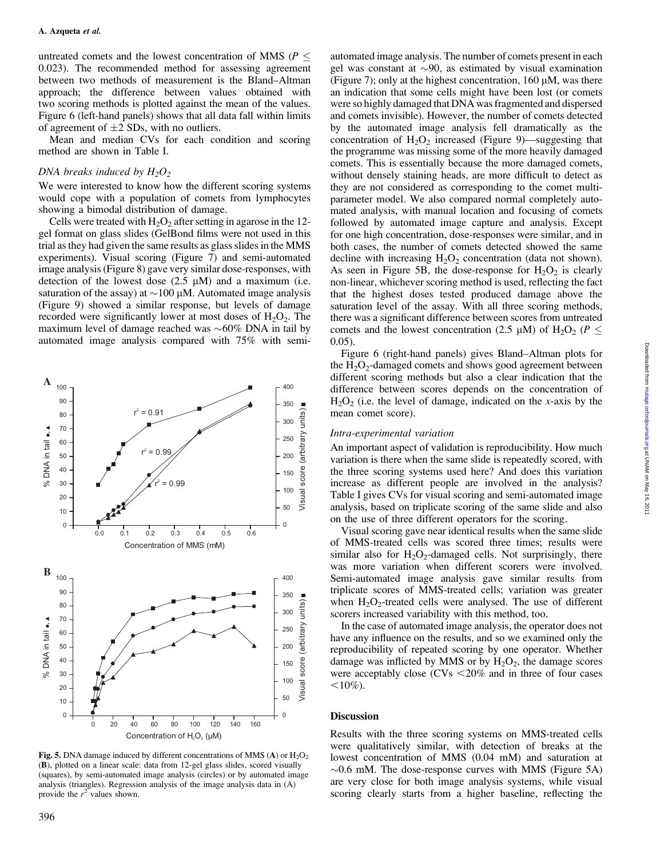untreated comets and the lowest concentration of MMS ( $P \leq$ 0.023). The recommended method for assessing agreement between two methods of measurement is the Bland–Altman approach; the difference between values obtained with two scoring methods is plotted against the mean of the values. Figure 6 (left-hand panels) shows that all data fall within limits of agreement of  $\pm 2$  SDs, with no outliers.

Mean and median CVs for each condition and scoring method are shown in Table I.

### DNA breaks induced by  $H_2O_2$

We were interested to know how the different scoring systems would cope with a population of comets from lymphocytes showing a bimodal distribution of damage.

Cells were treated with  $H_2O_2$  after setting in agarose in the 12gel format on glass slides (GelBond films were not used in this trial as they had given the same results as glass slides in the MMS experiments). Visual scoring (Figure 7) and semi-automated image analysis (Figure 8) gave very similar dose-responses, with detection of the lowest dose  $(2.5 \mu M)$  and a maximum (i.e. saturation of the assay) at  $\sim$ 100 µM. Automated image analysis (Figure 9) showed a similar response, but levels of damage recorded were significantly lower at most doses of  $H_2O_2$ . The maximum level of damage reached was  $\sim$ 60% DNA in tail by automated image analysis compared with 75% with semi-



Fig. 5. DNA damage induced by different concentrations of MMS (A) or  $H_2O_2$ (B), plotted on a linear scale: data from 12-gel glass slides, scored visually (squares), by semi-automated image analysis (circles) or by automated image analysis (triangles). Regression analysis of the image analysis data in (A) provide the  $r^2$  values shown.

automated image analysis. The number of comets present in each gel was constant at  $\sim$ 90, as estimated by visual examination (Figure 7); only at the highest concentration,  $160 \mu M$ , was there an indication that some cells might have been lost (or comets were so highly damaged that DNA was fragmented and dispersed and comets invisible). However, the number of comets detected by the automated image analysis fell dramatically as the concentration of  $H_2O_2$  increased (Figure 9)—suggesting that the programme was missing some of the more heavily damaged comets. This is essentially because the more damaged comets, without densely staining heads, are more difficult to detect as they are not considered as corresponding to the comet multiparameter model. We also compared normal completely automated analysis, with manual location and focusing of comets followed by automated image capture and analysis. Except for one high concentration, dose-responses were similar, and in both cases, the number of comets detected showed the same decline with increasing  $H_2O_2$  concentration (data not shown). As seen in Figure 5B, the dose-response for  $H_2O_2$  is clearly non-linear, whichever scoring method is used, reflecting the fact that the highest doses tested produced damage above the saturation level of the assay. With all three scoring methods, there was a significant difference between scores from untreated comets and the lowest concentration (2.5  $\mu$ M) of H<sub>2</sub>O<sub>2</sub> (P  $\leq$ 0.05).

Figure 6 (right-hand panels) gives Bland–Altman plots for the  $H_2O_2$ -damaged comets and shows good agreement between different scoring methods but also a clear indication that the difference between scores depends on the concentration of  $H<sub>2</sub>O<sub>2</sub>$  (i.e. the level of damage, indicated on the x-axis by the mean comet score).

#### Intra-experimental variation

An important aspect of validation is reproducibility. How much variation is there when the same slide is repeatedly scored, with the three scoring systems used here? And does this variation increase as different people are involved in the analysis? Table I gives CVs for visual scoring and semi-automated image analysis, based on triplicate scoring of the same slide and also on the use of three different operators for the scoring.

Visual scoring gave near identical results when the same slide of MMS-treated cells was scored three times; results were similar also for  $H_2O_2$ -damaged cells. Not surprisingly, there was more variation when different scorers were involved. Semi-automated image analysis gave similar results from triplicate scores of MMS-treated cells; variation was greater when  $H_2O_2$ -treated cells were analysed. The use of different scorers increased variability with this method, too.

In the case of automated image analysis, the operator does not have any influence on the results, and so we examined only the reproducibility of repeated scoring by one operator. Whether damage was inflicted by MMS or by  $H_2O_2$ , the damage scores were acceptably close  $(CVs < 20\%$  and in three of four cases  $<$ 10%).

#### **Discussion**

Results with the three scoring systems on MMS-treated cells were qualitatively similar, with detection of breaks at the lowest concentration of MMS (0.04 mM) and saturation at  $\sim$ 0.6 mM. The dose-response curves with MMS (Figure 5A) are very close for both image analysis systems, while visual scoring clearly starts from a higher baseline, reflecting the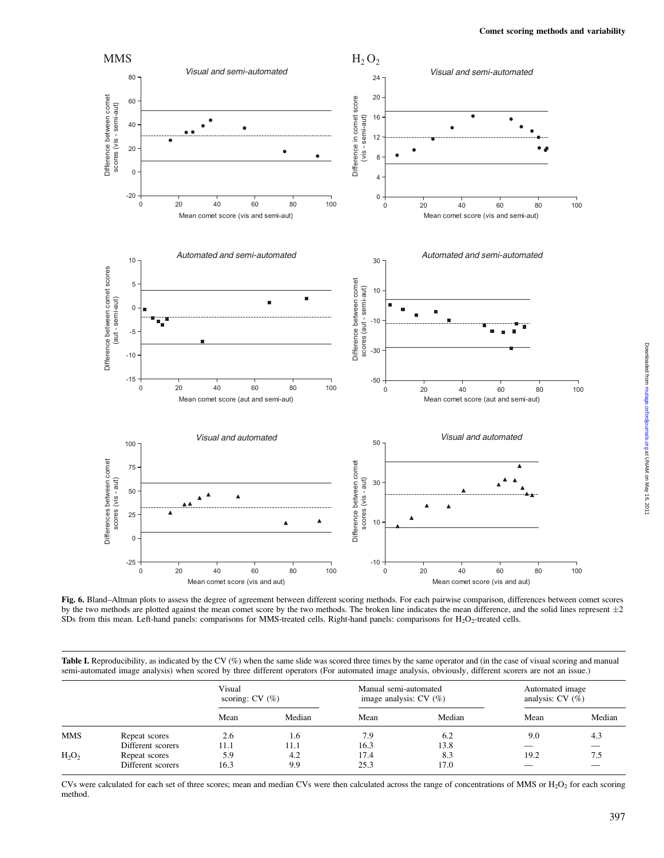

Fig. 6. Bland–Altman plots to assess the degree of agreement between different scoring methods. For each pairwise comparison, differences between comet scores by the two methods are plotted against the mean comet score by the two methods. The broken line indicates the mean difference, and the solid lines represent  $\pm 2$ SDs from this mean. Left-hand panels: comparisons for MMS-treated cells. Right-hand panels: comparisons for  $H_2O_2$ -treated cells.

Table I. Reproducibility, as indicated by the CV (%) when the same slide was scored three times by the same operator and (in the case of visual scoring and manual semi-automated image analysis) when scored by three different operators (For automated image analysis, obviously, different scorers are not an issue.)

|            |                   | Visual<br>scoring: $CV$ (%) |        | Manual semi-automated<br>image analysis: $CV$ (%) |        | Automated image<br>analysis: $CV(%)$ |        |
|------------|-------------------|-----------------------------|--------|---------------------------------------------------|--------|--------------------------------------|--------|
|            |                   | Mean                        | Median | Mean                                              | Median | Mean                                 | Median |
| <b>MMS</b> | Repeat scores     | 2.6                         | 1.6    | 7.9                                               | 6.2    | 9.0                                  | 4.3    |
|            | Different scorers | 11.1                        | 11.1   | 16.3                                              | 13.8   |                                      |        |
| $H_2O_2$   | Repeat scores     | 5.9                         | 4.2    | 17.4                                              | 8.3    | 19.2                                 | 7.5    |
|            | Different scorers | 16.3                        | 9.9    | 25.3                                              | 17.0   |                                      |        |

CVs were calculated for each set of three scores; mean and median CVs were then calculated across the range of concentrations of MMS or  $H_2O_2$  for each scoring method.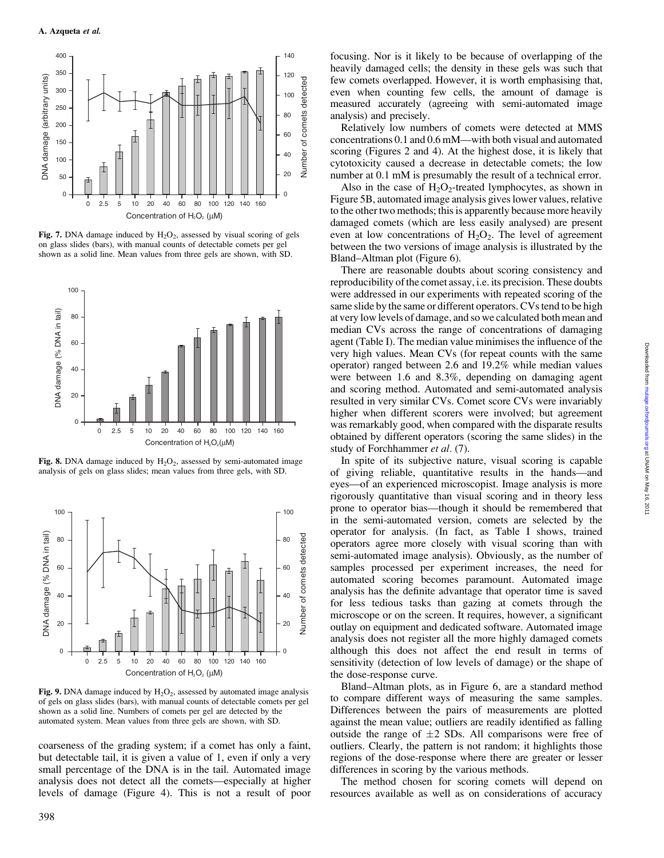

Fig. 7. DNA damage induced by  $H_2O_2$ , assessed by visual scoring of gels on glass slides (bars), with manual counts of detectable comets per gel shown as a solid line. Mean values from three gels are shown, with SD.



Fig. 8. DNA damage induced by  $H_2O_2$ , assessed by semi-automated image analysis of gels on glass slides; mean values from three gels, with SD.



Fig. 9. DNA damage induced by  $H_2O_2$ , assessed by automated image analysis of gels on glass slides (bars), with manual counts of detectable comets per gel shown as a solid line. Numbers of comets per gel are detected by the automated system. Mean values from three gels are shown, with SD.

coarseness of the grading system; if a comet has only a faint, but detectable tail, it is given a value of 1, even if only a very small percentage of the DNA is in the tail. Automated image analysis does not detect all the comets—especially at higher levels of damage (Figure 4). This is not a result of poor focusing. Nor is it likely to be because of overlapping of the heavily damaged cells; the density in these gels was such that few comets overlapped. However, it is worth emphasising that, even when counting few cells, the amount of damage is measured accurately (agreeing with semi-automated image analysis) and precisely.

Relatively low numbers of comets were detected at MMS concentrations 0.1 and 0.6 mM—with both visual and automated scoring (Figures 2 and 4). At the highest dose, it is likely that cytotoxicity caused a decrease in detectable comets; the low number at  $0.1$  mM is presumably the result of a technical error.

Also in the case of  $H_2O_2$ -treated lymphocytes, as shown in Figure 5B, automated image analysis gives lower values, relative to the other two methods; this is apparently because more heavily damaged comets (which are less easily analysed) are present even at low concentrations of  $H_2O_2$ . The level of agreement between the two versions of image analysis is illustrated by the Bland–Altman plot (Figure 6).

There are reasonable doubts about scoring consistency and reproducibility of the comet assay, i.e. its precision. These doubts were addressed in our experiments with repeated scoring of the same slide by the same or different operators. CVs tend to be high at very low levels of damage, and so we calculated both mean and median CVs across the range of concentrations of damaging agent (Table I). The median value minimises the influence of the very high values. Mean CVs (for repeat counts with the same operator) ranged between 2.6 and 19.2% while median values were between 1.6 and 8.3%, depending on damaging agent and scoring method. Automated and semi-automated analysis resulted in very similar CVs. Comet score CVs were invariably higher when different scorers were involved; but agreement was remarkably good, when compared with the disparate results obtained by different operators (scoring the same slides) in the study of Forchhammer et al. (7).

In spite of its subjective nature, visual scoring is capable of giving reliable, quantitative results in the hands—and eyes—of an experienced microscopist. Image analysis is more rigorously quantitative than visual scoring and in theory less prone to operator bias—though it should be remembered that in the semi-automated version, comets are selected by the operator for analysis. (In fact, as Table I shows, trained operators agree more closely with visual scoring than with semi-automated image analysis). Obviously, as the number of samples processed per experiment increases, the need for automated scoring becomes paramount. Automated image analysis has the definite advantage that operator time is saved for less tedious tasks than gazing at comets through the microscope or on the screen. It requires, however, a significant outlay on equipment and dedicated software. Automated image analysis does not register all the more highly damaged comets although this does not affect the end result in terms of sensitivity (detection of low levels of damage) or the shape of the dose-response curve.

Bland–Altman plots, as in Figure 6, are a standard method to compare different ways of measuring the same samples. Differences between the pairs of measurements are plotted against the mean value; outliers are readily identified as falling outside the range of  $\pm 2$  SDs. All comparisons were free of outliers. Clearly, the pattern is not random; it highlights those regions of the dose-response where there are greater or lesser differences in scoring by the various methods.

The method chosen for scoring comets will depend on resources available as well as on considerations of accuracy